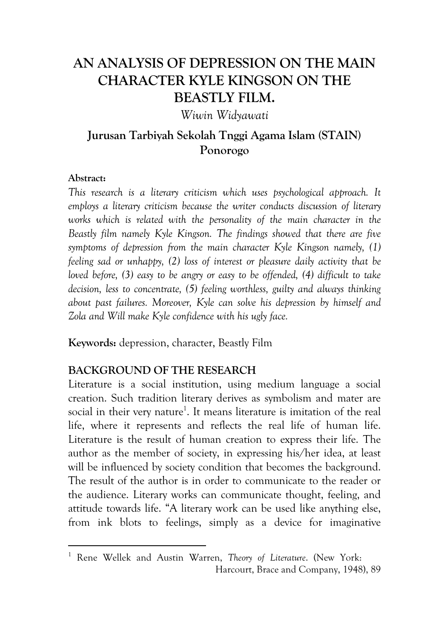# **AN ANALYSIS OF DEPRESSION ON THE MAIN CHARACTER KYLE KINGSON ON THE BEASTLY FILM.**

*Wiwin Widyawati* 

# **Jurusan Tarbiyah Sekolah Tnggi Agama Islam (STAIN) Ponorogo**

### **Abstract:**

-----------------------------------------------------------

*This research is a literary criticism which uses psychological approach. It employs a literary criticism because the writer conducts discussion of literary*  works which is related with the personality of the main character in the *Beastly film namely Kyle Kingson. The findings showed that there are five symptoms of depression from the main character Kyle Kingson namely, (1) feeling sad or unhappy, (2) loss of interest or pleasure daily activity that be loved before, (3) easy to be angry or easy to be offended, (4) difficult to take decision, less to concentrate, (5) feeling worthless, guilty and always thinking about past failures. Moreover, Kyle can solve his depression by himself and Zola and Will make Kyle confidence with his ugly face.* 

**Keywords:** depression, character, Beastly Film

## **BACKGROUND OF THE RESEARCH**

Literature is a social institution, using medium language a social creation. Such tradition literary derives as symbolism and mater are social in their very nature<sup>1</sup>. It means literature is imitation of the real life, where it represents and reflects the real life of human life. Literature is the result of human creation to express their life. The author as the member of society, in expressing his/her idea, at least will be influenced by society condition that becomes the background. The result of the author is in order to communicate to the reader or the audience. Literary works can communicate thought, feeling, and attitude towards life. "A literary work can be used like anything else, from ink blots to feelings, simply as a device for imaginative

<sup>1</sup> Rene Wellek and Austin Warren, *Theory of Literature*. (New York: Harcourt, Brace and Company, 1948), 89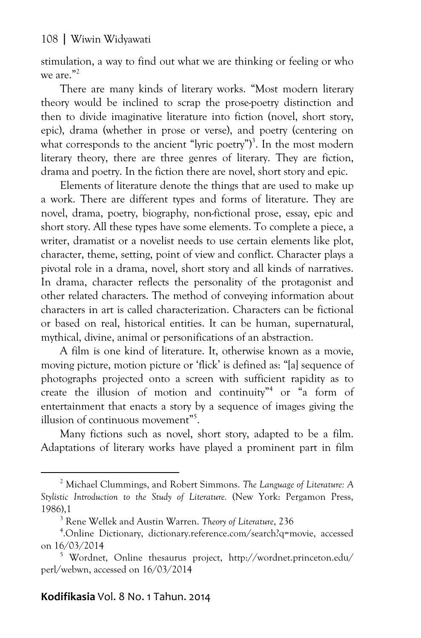stimulation, a way to find out what we are thinking or feeling or who we are. $^{\prime\prime}$ <sup>2</sup>

There are many kinds of literary works. "Most modern literary theory would be inclined to scrap the prose-poetry distinction and then to divide imaginative literature into fiction (novel, short story, epic), drama (whether in prose or verse), and poetry (centering on what corresponds to the ancient "lyric poetry")<sup>3</sup>. In the most modern literary theory, there are three genres of literary. They are fiction, drama and poetry. In the fiction there are novel, short story and epic.

Elements of literature denote the things that are used to make up a work. There are different types and forms of literature. They are novel, drama, poetry, biography, non-fictional prose, essay, epic and short story. All these types have some elements. To complete a piece, a writer, dramatist or a novelist needs to use certain elements like plot, character, theme, setting, point of view and conflict. Character plays a pivotal role in a drama, novel, short story and all kinds of narratives. In drama, character reflects the personality of the protagonist and other related characters. The method of conveying information about characters in art is called characterization. Characters can be fictional or based on real, historical entities. It can be human, supernatural, mythical, divine, animal or personifications of an abstraction.

A film is one kind of literature. It, otherwise known as a movie, moving picture, motion picture or 'flick' is defined as: "[a] sequence of photographs projected onto a screen with sufficient rapidity as to create the illusion of motion and continuity"<sup>4</sup> or "a form of entertainment that enacts a story by a sequence of images giving the illusion of continuous movement"<sup>5</sup>.

Many fictions such as novel, short story, adapted to be a film. Adaptations of literary works have played a prominent part in film

# Kodifikasia Vol. 8 No. 1 Tahun. 2014

-----------------------------------------------------------

<sup>2</sup> Michael Clummings, and Robert Simmons. *The Language of Literature: A Stylistic Introduction to the Study of Literature.* (New York: Pergamon Press, 1986),1 3

Rene Wellek and Austin Warren. *Theory of Literature*, 236

<sup>4</sup> .Online Dictionary, dictionary.reference.com/search?q=movie, accessed on 16/03/2014

<sup>5</sup> Wordnet, Online thesaurus project, http://wordnet.princeton.edu/ perl/webwn, accessed on 16/03/2014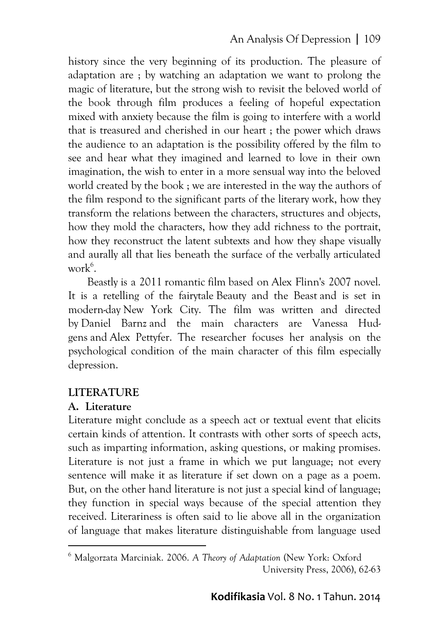history since the very beginning of its production. The pleasure of adaptation are ; by watching an adaptation we want to prolong the magic of literature, but the strong wish to revisit the beloved world of the book through film produces a feeling of hopeful expectation mixed with anxiety because the film is going to interfere with a world that is treasured and cherished in our heart ; the power which draws the audience to an adaptation is the possibility offered by the film to see and hear what they imagined and learned to love in their own imagination, the wish to enter in a more sensual way into the beloved world created by the book ; we are interested in the way the authors of the film respond to the significant parts of the literary work, how they transform the relations between the characters, structures and objects, how they mold the characters, how they add richness to the portrait, how they reconstruct the latent subtexts and how they shape visually and aurally all that lies beneath the surface of the verbally articulated work<sup>6</sup>.

Beastly is a 2011 romantic film based on Alex Flinn's 2007 novel. It is a retelling of the fairytale Beauty and the Beast and is set in modern-day New York City. The film was written and directed by Daniel Barnz and the main characters are Vanessa Hudgens and Alex Pettyfer. The researcher focuses her analysis on the psychological condition of the main character of this film especially depression.

## **LITERATURE**

### **A. Literature**

-----------------------------------------------------------

Literature might conclude as a speech act or textual event that elicits certain kinds of attention. It contrasts with other sorts of speech acts, such as imparting information, asking questions, or making promises. Literature is not just a frame in which we put language; not every sentence will make it as literature if set down on a page as a poem. But, on the other hand literature is not just a special kind of language; they function in special ways because of the special attention they received. Literariness is often said to lie above all in the organization of language that makes literature distinguishable from language used

<sup>6</sup> Malgorzata Marciniak. 2006. *A Theory of Adaptation* (New York: Oxford University Press, 2006), 62-63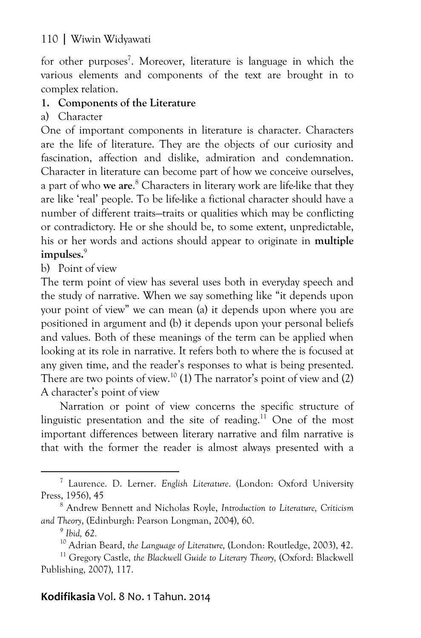for other purposes<sup>7</sup>. Moreover, literature is language in which the various elements and components of the text are brought in to complex relation.

# **1. Components of the Literature**

a) Character

One of important components in literature is character. Characters are the life of literature. They are the objects of our curiosity and fascination, affection and dislike, admiration and condemnation. Character in literature can become part of how we conceive ourselves, a part of who **we are**. 8 Characters in literary work are life-like that they are like 'real' people. To be life-like a fictional character should have a number of different traits—traits or qualities which may be conflicting or contradictory. He or she should be, to some extent, unpredictable, his or her words and actions should appear to originate in **multiple**  impulses.<sup>9</sup>

b) Point of view

The term point of view has several uses both in everyday speech and the study of narrative. When we say something like "it depends upon your point of view" we can mean (a) it depends upon where you are positioned in argument and (b) it depends upon your personal beliefs and values. Both of these meanings of the term can be applied when looking at its role in narrative. It refers both to where the is focused at any given time, and the reader's responses to what is being presented. There are two points of view.<sup>10</sup> (1) The narrator's point of view and (2) A character's point of view

Narration or point of view concerns the specific structure of linguistic presentation and the site of reading.<sup>11</sup> One of the most important differences between literary narrative and film narrative is that with the former the reader is almost always presented with a

-----------------------------------------------------------

# Kodifikasia Vol. 8 No. 1 Tahun. 2014

<sup>7</sup> Laurence. D. Lerner. *English Literature*. (London: Oxford University Press, 1956), 45

Andrew Bennett and Nicholas Royle, *Introduction to Literature, Criticism and Theory*, (Edinburgh: Pearson Longman, 2004), 60.

*<sup>9</sup> Ibid, 62.* 

<sup>10</sup> Adrian Beard, *the Language of Literature,* (London: Routledge, 2003), 42. 11 Gregory Castle, *the Blackwell Guide to Literary Theory,* (Oxford: Blackwell

Publishing, 2007), 117.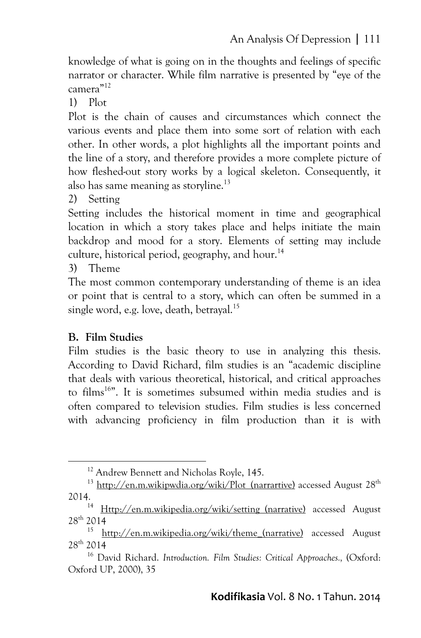knowledge of what is going on in the thoughts and feelings of specific narrator or character. While film narrative is presented by "eye of the camera"12

1) Plot

Plot is the chain of causes and circumstances which connect the various events and place them into some sort of relation with each other. In other words, a plot highlights all the important points and the line of a story, and therefore provides a more complete picture of how fleshed-out story works by a logical skeleton. Consequently, it also has same meaning as storyline.<sup>13</sup>

2) Setting

Setting includes the historical moment in time and geographical location in which a story takes place and helps initiate the main backdrop and mood for a story. Elements of setting may include culture, historical period, geography, and hour.<sup>14</sup>

3) Theme

The most common contemporary understanding of theme is an idea or point that is central to a story, which can often be summed in a single word, e.g. love, death, betraval.<sup>15</sup>

# **B. Film Studies**

--------------------------------------------

Film studies is the basic theory to use in analyzing this thesis. According to David Richard, film studies is an "academic discipline that deals with various theoretical, historical, and critical approaches to films<sup>16"</sup>. It is sometimes subsumed within media studies and is often compared to television studies. Film studies is less concerned with advancing proficiency in film production than it is with

----------

<sup>-</sup>----<sup>12</sup> Andrew Bennett and Nicholas Royle, 145.

<sup>&</sup>lt;sup>13</sup> http://en.m.wikipwdia.org/wiki/Plot (narrartive) accessed August  $28<sup>th</sup>$ 2014.

<sup>&</sup>lt;sup>14</sup> Http://en.m.wikipedia.org/wiki/setting (narrative) accessed August 28th 2014

<sup>15</sup> http://en.m.wikipedia.org/wiki/theme\_(narrative) accessed August 28th 2014

<sup>16</sup> David Richard. *Introduction. Film Studies: Critical Approaches.,* (Oxford: Oxford UP, 2000), 35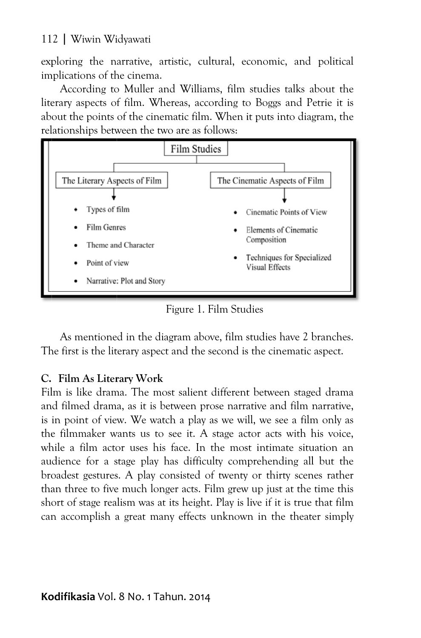exploring the narrative, artistic, cultural, economic, and political implications of the cinema.

literary aspects of film. Whereas, according to Boggs and Petrie it is about the points of the cinematic film. When it puts into diagram, the relationships between the two are as follows: According to Muller and Williams, film studies talks about the



Figure 1. Film Studies

The first is the literary aspect and the second is the cinematic aspect. As mentione d in the diagra m above, film s studies have 2 b branches.

# **C. Film As Liter rary Work**

Film is like drama. The most salient different between staged drama and filmed drama, as it is between prose narrative and film narrative, is in point of view. We watch a play as we will, we see a film only as the filmmaker wants us to see it. A stage actor acts with his voice, while a film actor uses his face. In the most intimate situation an audience for a stage play has difficulty comprehending all but the broadest gestures. A play consisted of twenty or thirty scenes rather than three to five much longer acts. Film grew up just at the time this short of stage realism was at its height. Play is live if it is true that film can accomplish a great many effects unknown in the theater simply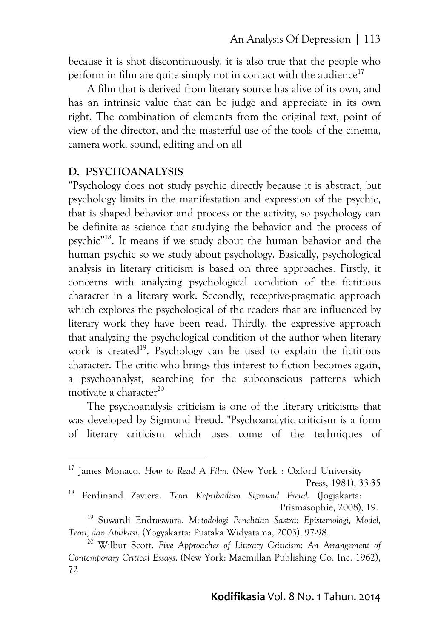because it is shot discontinuously, it is also true that the people who perform in film are quite simply not in contact with the audience<sup>17</sup>

A film that is derived from literary source has alive of its own, and has an intrinsic value that can be judge and appreciate in its own right. The combination of elements from the original text, point of view of the director, and the masterful use of the tools of the cinema, camera work, sound, editing and on all

### **D. PSYCHOANALYSIS**

-----------------------------------------------------------

"Psychology does not study psychic directly because it is abstract, but psychology limits in the manifestation and expression of the psychic, that is shaped behavior and process or the activity, so psychology can be definite as science that studying the behavior and the process of psychic"18. It means if we study about the human behavior and the human psychic so we study about psychology. Basically, psychological analysis in literary criticism is based on three approaches. Firstly, it concerns with analyzing psychological condition of the fictitious character in a literary work. Secondly, receptive-pragmatic approach which explores the psychological of the readers that are influenced by literary work they have been read. Thirdly, the expressive approach that analyzing the psychological condition of the author when literary work is created<sup>19</sup>. Psychology can be used to explain the fictitious character. The critic who brings this interest to fiction becomes again, a psychoanalyst, searching for the subconscious patterns which motivate a character<sup>20</sup>

The psychoanalysis criticism is one of the literary criticisms that was developed by Sigmund Freud. "Psychoanalytic criticism is a form of literary criticism which uses come of the techniques of

<sup>&</sup>lt;sup>17</sup> James Monaco. How to Read A Film. (New York : Oxford University

Press, 1981), 33-35

<sup>18</sup> Ferdinand Zaviera. *Teori Kepribadian Sigmund Freud*. (Jogjakarta: Prismasophie, 2008), 19.

<sup>19</sup> Suwardi Endraswara. *Metodologi Penelitian Sastra: Epistemologi, Model, Teori, dan Aplikasi*. (Yogyakarta: Pustaka Widyatama, 2003), 97-98. 20 Wilbur Scott. *Five Approaches of Literary Criticism: An Arrangement of* 

*Contemporary Critical Essays*. (New York: Macmillan Publishing Co. Inc. 1962), 72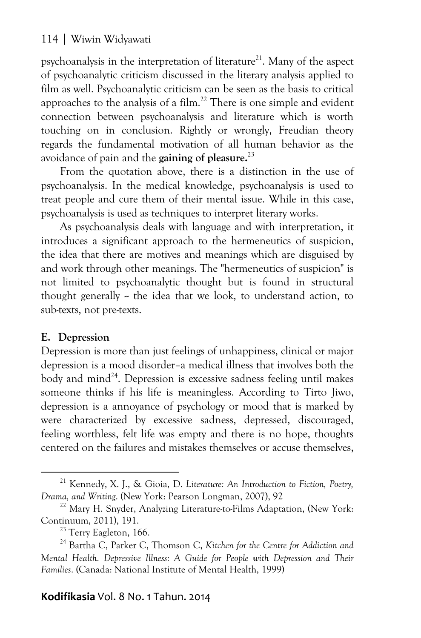psychoanalysis in the interpretation of literature<sup>21</sup>. Many of the aspect of psychoanalytic criticism discussed in the literary analysis applied to film as well. Psychoanalytic criticism can be seen as the basis to critical approaches to the analysis of a film.<sup>22</sup> There is one simple and evident connection between psychoanalysis and literature which is worth touching on in conclusion. Rightly or wrongly, Freudian theory regards the fundamental motivation of all human behavior as the avoidance of pain and the **gaining of pleasure.**<sup>23</sup>

From the quotation above, there is a distinction in the use of psychoanalysis. In the medical knowledge, psychoanalysis is used to treat people and cure them of their mental issue. While in this case, psychoanalysis is used as techniques to interpret literary works.

As psychoanalysis deals with language and with interpretation, it introduces a significant approach to the hermeneutics of suspicion, the idea that there are motives and meanings which are disguised by and work through other meanings. The "hermeneutics of suspicion" is not limited to psychoanalytic thought but is found in structural thought generally  $\sim$  the idea that we look, to understand action, to sub-texts, not pre-texts.

## **E. Depression**

-----------------------------------------------------------

Depression is more than just feelings of unhappiness, clinical or major depression is a mood disorder–a medical illness that involves both the body and mind<sup>24</sup>. Depression is excessive sadness feeling until makes someone thinks if his life is meaningless. According to Tirto Jiwo, depression is a annoyance of psychology or mood that is marked by were characterized by excessive sadness, depressed, discouraged, feeling worthless, felt life was empty and there is no hope, thoughts centered on the failures and mistakes themselves or accuse themselves,

# Kodifikasia Vol. 8 No. 1 Tahun. 2014

<sup>21</sup> Kennedy, X. J., & Gioia, D. *Literature: An Introduction to Fiction, Poetry,* 

*Drama, and Writing.* (New York: Pearson Longman, 2007), 92<sup>22</sup> Mary H. Snyder, Analyzing Literature-to-Films Adaptation, (New York: Continuum, 2011), 191.

 $^{23}$  Terry Eagleton, 166.

<sup>24</sup> Bartha C, Parker C, Thomson C, *Kitchen for the Centre for Addiction and Mental Health. Depressive Illness: A Guide for People with Depression and Their Families*. (Canada: National Institute of Mental Health, 1999)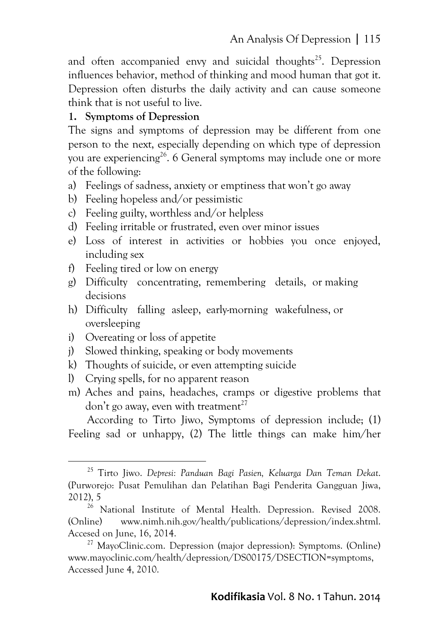and often accompanied envy and suicidal thoughts<sup>25</sup>. Depression influences behavior, method of thinking and mood human that got it. Depression often disturbs the daily activity and can cause someone think that is not useful to live.

# **1. Symptoms of Depression**

The signs and symptoms of depression may be different from one person to the next, especially depending on which type of depression you are experiencing<sup>26</sup>. 6 General symptoms may include one or more of the following:

- a) Feelings of sadness, anxiety or emptiness that won't go away
- b) Feeling hopeless and/or pessimistic
- c) Feeling guilty, worthless and/or helpless
- d) Feeling irritable or frustrated, even over minor issues
- e) Loss of interest in activities or hobbies you once enjoyed, including sex
- f) Feeling tired or low on energy
- g) Difficulty concentrating, remembering details, or making decisions
- h) Difficulty falling asleep, early-morning wakefulness, or oversleeping
- i) Overeating or loss of appetite

-----------------------------------------------------------

- j) Slowed thinking, speaking or body movements
- k) Thoughts of suicide, or even attempting suicide
- l) Crying spells, for no apparent reason
- m) Aches and pains, headaches, cramps or digestive problems that don't go away, even with treatment<sup>27</sup>

According to Tirto Jiwo, Symptoms of depression include; (1) Feeling sad or unhappy, (2) The little things can make him/her

<sup>25</sup> Tirto Jiwo. *Depresi: Panduan Bagi Pasien, Keluarga Dan Teman Dekat*. (Purworejo: Pusat Pemulihan dan Pelatihan Bagi Penderita Gangguan Jiwa, 2012), 5

<sup>&</sup>lt;sup>26</sup> National Institute of Mental Health. Depression. Revised 2008. (Online) www.nimh.nih.gov/health/publications/depression/index.shtml. Accesed on June, 16, 2014.

<sup>&</sup>lt;sup>27</sup> MayoClinic.com. Depression (major depression): Symptoms. (Online) www.mayoclinic.com/health/depression/DS00175/DSECTION=symptoms, Accessed June 4, 2010.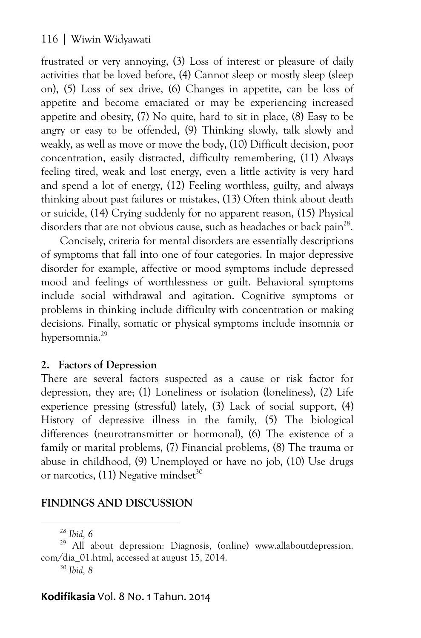frustrated or very annoying, (3) Loss of interest or pleasure of daily activities that be loved before, (4) Cannot sleep or mostly sleep (sleep on), (5) Loss of sex drive, (6) Changes in appetite, can be loss of appetite and become emaciated or may be experiencing increased appetite and obesity, (7) No quite, hard to sit in place, (8) Easy to be angry or easy to be offended, (9) Thinking slowly, talk slowly and weakly, as well as move or move the body, (10) Difficult decision, poor concentration, easily distracted, difficulty remembering, (11) Always feeling tired, weak and lost energy, even a little activity is very hard and spend a lot of energy, (12) Feeling worthless, guilty, and always thinking about past failures or mistakes, (13) Often think about death or suicide, (14) Crying suddenly for no apparent reason, (15) Physical disorders that are not obvious cause, such as headaches or back pain<sup>28</sup>.

Concisely, criteria for mental disorders are essentially descriptions of symptoms that fall into one of four categories. In major depressive disorder for example, affective or mood symptoms include depressed mood and feelings of worthlessness or guilt. Behavioral symptoms include social withdrawal and agitation. Cognitive symptoms or problems in thinking include difficulty with concentration or making decisions. Finally, somatic or physical symptoms include insomnia or hypersomnia.<sup>29</sup>

## **2. Factors of Depression**

There are several factors suspected as a cause or risk factor for depression, they are; (1) Loneliness or isolation (loneliness), (2) Life experience pressing (stressful) lately, (3) Lack of social support, (4) History of depressive illness in the family, (5) The biological differences (neurotransmitter or hormonal), (6) The existence of a family or marital problems, (7) Financial problems, (8) The trauma or abuse in childhood, (9) Unemployed or have no job, (10) Use drugs or narcotics,  $(11)$  Negative mindset<sup>30</sup>

#### **FINDINGS AND DISCUSSION**  ----

-------------------------

-------------

-------------

# Kodifikasia Vol. 8 No. 1 Tahun. 2014

<sup>-</sup>---*28 Ibid, 6* 

<sup>&</sup>lt;sup>29</sup> All about depression: Diagnosis, (online) www.allaboutdepression. com/dia\_01.html, accessed at august 15, 2014.

*<sup>30</sup> Ibid, 8*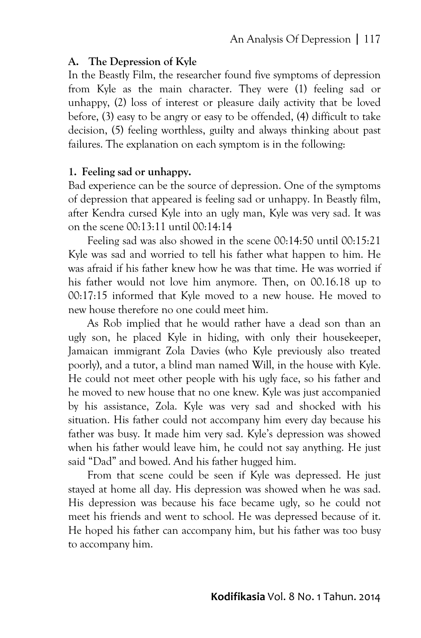### **A. The Depression of Kyle**

In the Beastly Film, the researcher found five symptoms of depression from Kyle as the main character. They were (1) feeling sad or unhappy, (2) loss of interest or pleasure daily activity that be loved before, (3) easy to be angry or easy to be offended, (4) difficult to take decision, (5) feeling worthless, guilty and always thinking about past failures. The explanation on each symptom is in the following:

#### **1. Feeling sad or unhappy.**

Bad experience can be the source of depression. One of the symptoms of depression that appeared is feeling sad or unhappy. In Beastly film, after Kendra cursed Kyle into an ugly man, Kyle was very sad. It was on the scene 00:13:11 until 00:14:14

Feeling sad was also showed in the scene 00:14:50 until 00:15:21 Kyle was sad and worried to tell his father what happen to him. He was afraid if his father knew how he was that time. He was worried if his father would not love him anymore. Then, on 00.16.18 up to 00:17:15 informed that Kyle moved to a new house. He moved to new house therefore no one could meet him.

As Rob implied that he would rather have a dead son than an ugly son, he placed Kyle in hiding, with only their housekeeper, Jamaican immigrant Zola Davies (who Kyle previously also treated poorly), and a tutor, a blind man named Will, in the house with Kyle. He could not meet other people with his ugly face, so his father and he moved to new house that no one knew. Kyle was just accompanied by his assistance, Zola. Kyle was very sad and shocked with his situation. His father could not accompany him every day because his father was busy. It made him very sad. Kyle's depression was showed when his father would leave him, he could not say anything. He just said "Dad" and bowed. And his father hugged him.

From that scene could be seen if Kyle was depressed. He just stayed at home all day. His depression was showed when he was sad. His depression was because his face became ugly, so he could not meet his friends and went to school. He was depressed because of it. He hoped his father can accompany him, but his father was too busy to accompany him.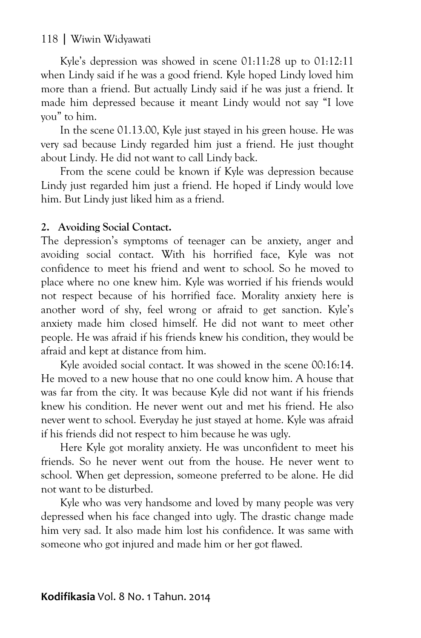Kyle's depression was showed in scene 01:11:28 up to 01:12:11 when Lindy said if he was a good friend. Kyle hoped Lindy loved him more than a friend. But actually Lindy said if he was just a friend. It made him depressed because it meant Lindy would not say "I love you" to him.

In the scene 01.13.00, Kyle just stayed in his green house. He was very sad because Lindy regarded him just a friend. He just thought about Lindy. He did not want to call Lindy back.

From the scene could be known if Kyle was depression because Lindy just regarded him just a friend. He hoped if Lindy would love him. But Lindy just liked him as a friend.

#### **2. Avoiding Social Contact.**

The depression's symptoms of teenager can be anxiety, anger and avoiding social contact. With his horrified face, Kyle was not confidence to meet his friend and went to school. So he moved to place where no one knew him. Kyle was worried if his friends would not respect because of his horrified face. Morality anxiety here is another word of shy, feel wrong or afraid to get sanction. Kyle's anxiety made him closed himself. He did not want to meet other people. He was afraid if his friends knew his condition, they would be afraid and kept at distance from him.

Kyle avoided social contact. It was showed in the scene 00:16:14. He moved to a new house that no one could know him. A house that was far from the city. It was because Kyle did not want if his friends knew his condition. He never went out and met his friend. He also never went to school. Everyday he just stayed at home. Kyle was afraid if his friends did not respect to him because he was ugly.

Here Kyle got morality anxiety. He was unconfident to meet his friends. So he never went out from the house. He never went to school. When get depression, someone preferred to be alone. He did not want to be disturbed.

Kyle who was very handsome and loved by many people was very depressed when his face changed into ugly. The drastic change made him very sad. It also made him lost his confidence. It was same with someone who got injured and made him or her got flawed.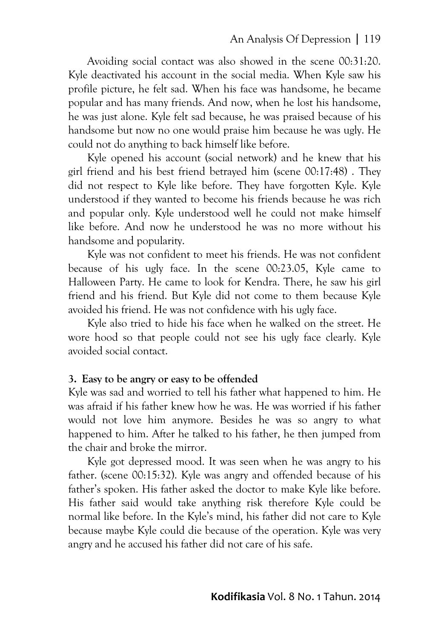Avoiding social contact was also showed in the scene 00:31:20. Kyle deactivated his account in the social media. When Kyle saw his profile picture, he felt sad. When his face was handsome, he became popular and has many friends. And now, when he lost his handsome, he was just alone. Kyle felt sad because, he was praised because of his handsome but now no one would praise him because he was ugly. He could not do anything to back himself like before.

Kyle opened his account (social network) and he knew that his girl friend and his best friend betrayed him (scene 00:17:48) . They did not respect to Kyle like before. They have forgotten Kyle. Kyle understood if they wanted to become his friends because he was rich and popular only. Kyle understood well he could not make himself like before. And now he understood he was no more without his handsome and popularity.

Kyle was not confident to meet his friends. He was not confident because of his ugly face. In the scene 00:23.05, Kyle came to Halloween Party. He came to look for Kendra. There, he saw his girl friend and his friend. But Kyle did not come to them because Kyle avoided his friend. He was not confidence with his ugly face.

Kyle also tried to hide his face when he walked on the street. He wore hood so that people could not see his ugly face clearly. Kyle avoided social contact.

#### **3. Easy to be angry or easy to be offended**

Kyle was sad and worried to tell his father what happened to him. He was afraid if his father knew how he was. He was worried if his father would not love him anymore. Besides he was so angry to what happened to him. After he talked to his father, he then jumped from the chair and broke the mirror.

Kyle got depressed mood. It was seen when he was angry to his father. (scene 00:15:32). Kyle was angry and offended because of his father's spoken. His father asked the doctor to make Kyle like before. His father said would take anything risk therefore Kyle could be normal like before. In the Kyle's mind, his father did not care to Kyle because maybe Kyle could die because of the operation. Kyle was very angry and he accused his father did not care of his safe.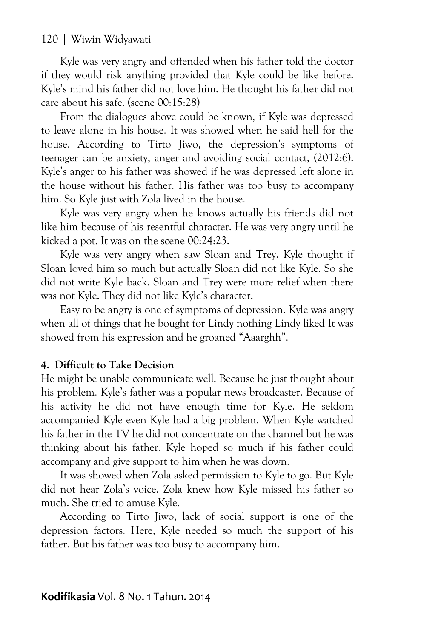Kyle was very angry and offended when his father told the doctor if they would risk anything provided that Kyle could be like before. Kyle's mind his father did not love him. He thought his father did not care about his safe. (scene 00:15:28)

From the dialogues above could be known, if Kyle was depressed to leave alone in his house. It was showed when he said hell for the house. According to Tirto Jiwo, the depression's symptoms of teenager can be anxiety, anger and avoiding social contact, (2012:6). Kyle's anger to his father was showed if he was depressed left alone in the house without his father. His father was too busy to accompany him. So Kyle just with Zola lived in the house.

Kyle was very angry when he knows actually his friends did not like him because of his resentful character. He was very angry until he kicked a pot. It was on the scene 00:24:23.

Kyle was very angry when saw Sloan and Trey. Kyle thought if Sloan loved him so much but actually Sloan did not like Kyle. So she did not write Kyle back. Sloan and Trey were more relief when there was not Kyle. They did not like Kyle's character.

Easy to be angry is one of symptoms of depression. Kyle was angry when all of things that he bought for Lindy nothing Lindy liked It was showed from his expression and he groaned "Aaarghh".

### **4. Difficult to Take Decision**

He might be unable communicate well. Because he just thought about his problem. Kyle's father was a popular news broadcaster. Because of his activity he did not have enough time for Kyle. He seldom accompanied Kyle even Kyle had a big problem. When Kyle watched his father in the TV he did not concentrate on the channel but he was thinking about his father. Kyle hoped so much if his father could accompany and give support to him when he was down.

It was showed when Zola asked permission to Kyle to go. But Kyle did not hear Zola's voice. Zola knew how Kyle missed his father so much. She tried to amuse Kyle.

According to Tirto Jiwo, lack of social support is one of the depression factors. Here, Kyle needed so much the support of his father. But his father was too busy to accompany him.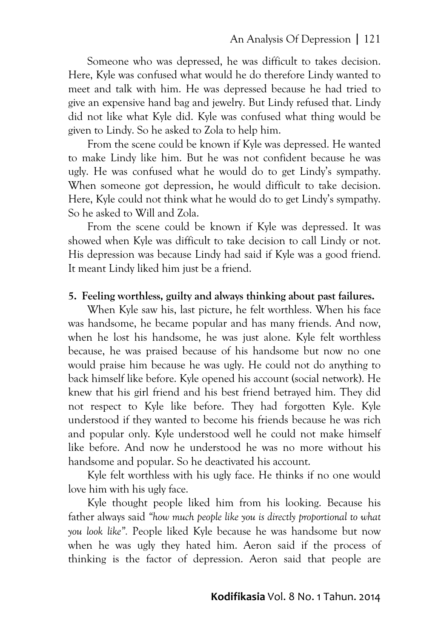Someone who was depressed, he was difficult to takes decision. Here, Kyle was confused what would he do therefore Lindy wanted to meet and talk with him. He was depressed because he had tried to give an expensive hand bag and jewelry. But Lindy refused that. Lindy did not like what Kyle did. Kyle was confused what thing would be given to Lindy. So he asked to Zola to help him.

From the scene could be known if Kyle was depressed. He wanted to make Lindy like him. But he was not confident because he was ugly. He was confused what he would do to get Lindy's sympathy. When someone got depression, he would difficult to take decision. Here, Kyle could not think what he would do to get Lindy's sympathy. So he asked to Will and Zola.

From the scene could be known if Kyle was depressed. It was showed when Kyle was difficult to take decision to call Lindy or not. His depression was because Lindy had said if Kyle was a good friend. It meant Lindy liked him just be a friend.

### **5. Feeling worthless, guilty and always thinking about past failures.**

When Kyle saw his, last picture, he felt worthless. When his face was handsome, he became popular and has many friends. And now, when he lost his handsome, he was just alone. Kyle felt worthless because, he was praised because of his handsome but now no one would praise him because he was ugly. He could not do anything to back himself like before. Kyle opened his account (social network). He knew that his girl friend and his best friend betrayed him. They did not respect to Kyle like before. They had forgotten Kyle. Kyle understood if they wanted to become his friends because he was rich and popular only. Kyle understood well he could not make himself like before. And now he understood he was no more without his handsome and popular. So he deactivated his account.

Kyle felt worthless with his ugly face. He thinks if no one would love him with his ugly face.

Kyle thought people liked him from his looking. Because his father always said *"how much people like you is directly proportional to what you look like".* People liked Kyle because he was handsome but now when he was ugly they hated him. Aeron said if the process of thinking is the factor of depression. Aeron said that people are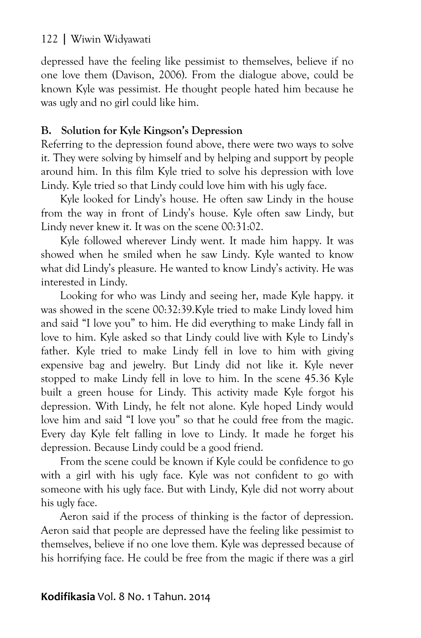depressed have the feeling like pessimist to themselves, believe if no one love them (Davison, 2006). From the dialogue above, could be known Kyle was pessimist. He thought people hated him because he was ugly and no girl could like him.

### **B. Solution for Kyle Kingson's Depression**

Referring to the depression found above, there were two ways to solve it. They were solving by himself and by helping and support by people around him. In this film Kyle tried to solve his depression with love Lindy. Kyle tried so that Lindy could love him with his ugly face.

Kyle looked for Lindy's house. He often saw Lindy in the house from the way in front of Lindy's house. Kyle often saw Lindy, but Lindy never knew it. It was on the scene 00:31:02.

Kyle followed wherever Lindy went. It made him happy. It was showed when he smiled when he saw Lindy. Kyle wanted to know what did Lindy's pleasure. He wanted to know Lindy's activity. He was interested in Lindy.

Looking for who was Lindy and seeing her, made Kyle happy. it was showed in the scene 00:32:39.Kyle tried to make Lindy loved him and said "I love you" to him. He did everything to make Lindy fall in love to him. Kyle asked so that Lindy could live with Kyle to Lindy's father. Kyle tried to make Lindy fell in love to him with giving expensive bag and jewelry. But Lindy did not like it. Kyle never stopped to make Lindy fell in love to him. In the scene 45.36 Kyle built a green house for Lindy. This activity made Kyle forgot his depression. With Lindy, he felt not alone. Kyle hoped Lindy would love him and said "I love you" so that he could free from the magic. Every day Kyle felt falling in love to Lindy. It made he forget his depression. Because Lindy could be a good friend.

From the scene could be known if Kyle could be confidence to go with a girl with his ugly face. Kyle was not confident to go with someone with his ugly face. But with Lindy, Kyle did not worry about his ugly face.

Aeron said if the process of thinking is the factor of depression. Aeron said that people are depressed have the feeling like pessimist to themselves, believe if no one love them. Kyle was depressed because of his horrifying face. He could be free from the magic if there was a girl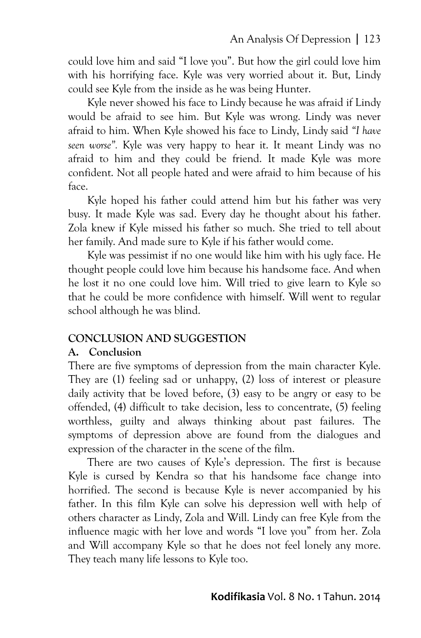could love him and said "I love you". But how the girl could love him with his horrifying face. Kyle was very worried about it. But, Lindy could see Kyle from the inside as he was being Hunter.

Kyle never showed his face to Lindy because he was afraid if Lindy would be afraid to see him. But Kyle was wrong. Lindy was never afraid to him. When Kyle showed his face to Lindy, Lindy said *"I have seen worse".* Kyle was very happy to hear it. It meant Lindy was no afraid to him and they could be friend. It made Kyle was more confident. Not all people hated and were afraid to him because of his face.

Kyle hoped his father could attend him but his father was very busy. It made Kyle was sad. Every day he thought about his father. Zola knew if Kyle missed his father so much. She tried to tell about her family. And made sure to Kyle if his father would come.

Kyle was pessimist if no one would like him with his ugly face. He thought people could love him because his handsome face. And when he lost it no one could love him. Will tried to give learn to Kyle so that he could be more confidence with himself. Will went to regular school although he was blind.

### **CONCLUSION AND SUGGESTION**

### **A. Conclusion**

There are five symptoms of depression from the main character Kyle. They are (1) feeling sad or unhappy, (2) loss of interest or pleasure daily activity that be loved before, (3) easy to be angry or easy to be offended, (4) difficult to take decision, less to concentrate, (5) feeling worthless, guilty and always thinking about past failures. The symptoms of depression above are found from the dialogues and expression of the character in the scene of the film.

There are two causes of Kyle's depression. The first is because Kyle is cursed by Kendra so that his handsome face change into horrified. The second is because Kyle is never accompanied by his father. In this film Kyle can solve his depression well with help of others character as Lindy, Zola and Will. Lindy can free Kyle from the influence magic with her love and words "I love you" from her. Zola and Will accompany Kyle so that he does not feel lonely any more. They teach many life lessons to Kyle too.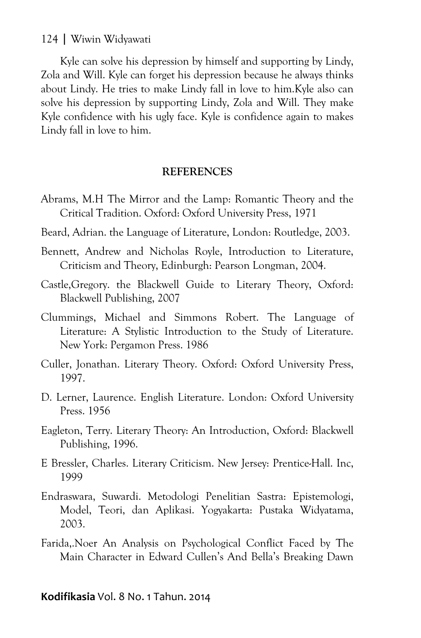Kyle can solve his depression by himself and supporting by Lindy, Zola and Will. Kyle can forget his depression because he always thinks about Lindy. He tries to make Lindy fall in love to him.Kyle also can solve his depression by supporting Lindy, Zola and Will. They make Kyle confidence with his ugly face. Kyle is confidence again to makes Lindy fall in love to him.

#### **REFERENCES**

- Abrams, M.H The Mirror and the Lamp: Romantic Theory and the Critical Tradition. Oxford: Oxford University Press, 1971
- Beard, Adrian. the Language of Literature, London: Routledge, 2003.
- Bennett, Andrew and Nicholas Royle, Introduction to Literature, Criticism and Theory, Edinburgh: Pearson Longman, 2004.
- Castle,Gregory. the Blackwell Guide to Literary Theory, Oxford: Blackwell Publishing, 2007
- Clummings, Michael and Simmons Robert. The Language of Literature: A Stylistic Introduction to the Study of Literature. New York: Pergamon Press. 1986
- Culler, Jonathan. Literary Theory. Oxford: Oxford University Press, 1997.
- D. Lerner, Laurence. English Literature. London: Oxford University Press. 1956
- Eagleton, Terry. Literary Theory: An Introduction, Oxford: Blackwell Publishing, 1996.
- E Bressler, Charles. Literary Criticism. New Jersey: Prentice-Hall. Inc, 1999
- Endraswara, Suwardi. Metodologi Penelitian Sastra: Epistemologi, Model, Teori, dan Aplikasi. Yogyakarta: Pustaka Widyatama, 2003.
- Farida,.Noer An Analysis on Psychological Conflict Faced by The Main Character in Edward Cullen's And Bella's Breaking Dawn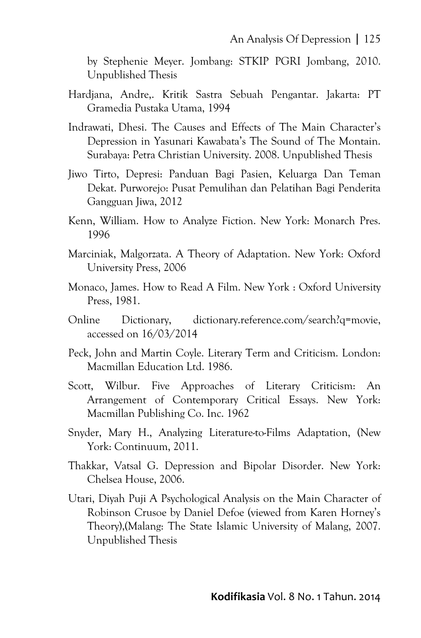by Stephenie Meyer. Jombang: STKIP PGRI Jombang, 2010. Unpublished Thesis

- Hardjana, Andre,. Kritik Sastra Sebuah Pengantar. Jakarta: PT Gramedia Pustaka Utama, 1994
- Indrawati, Dhesi. The Causes and Effects of The Main Character's Depression in Yasunari Kawabata's The Sound of The Montain. Surabaya: Petra Christian University. 2008. Unpublished Thesis
- Jiwo Tirto, Depresi: Panduan Bagi Pasien, Keluarga Dan Teman Dekat. Purworejo: Pusat Pemulihan dan Pelatihan Bagi Penderita Gangguan Jiwa, 2012
- Kenn, William. How to Analyze Fiction. New York: Monarch Pres. 1996
- Marciniak, Malgorzata. A Theory of Adaptation. New York: Oxford University Press, 2006
- Monaco, James. How to Read A Film. New York : Oxford University Press, 1981.
- Online Dictionary, dictionary.reference.com/search?q=movie, accessed on 16/03/2014
- Peck, John and Martin Coyle. Literary Term and Criticism. London: Macmillan Education Ltd. 1986.
- Scott, Wilbur. Five Approaches of Literary Criticism: An Arrangement of Contemporary Critical Essays. New York: Macmillan Publishing Co. Inc. 1962
- Snyder, Mary H., Analyzing Literature-to-Films Adaptation, (New York: Continuum, 2011.
- Thakkar, Vatsal G. Depression and Bipolar Disorder. New York: Chelsea House, 2006.
- Utari, Diyah Puji A Psychological Analysis on the Main Character of Robinson Crusoe by Daniel Defoe (viewed from Karen Horney's Theory),(Malang: The State Islamic University of Malang, 2007. Unpublished Thesis